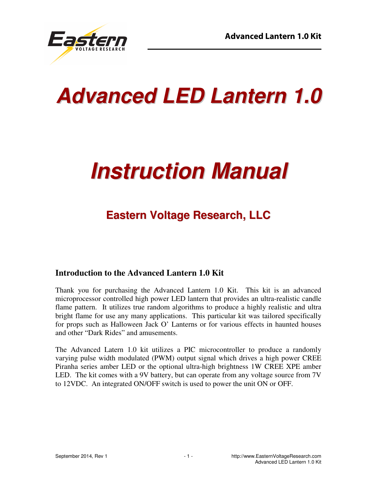

# **Advanced LED Lantern 1.0**

# **Instruction Manual**

# **Eastern Voltage Research, LLC**

#### **Introduction to the Advanced Lantern 1.0 Kit**

Thank you for purchasing the Advanced Lantern 1.0 Kit. This kit is an advanced microprocessor controlled high power LED lantern that provides an ultra-realistic candle flame pattern. It utilizes true random algorithms to produce a highly realistic and ultra bright flame for use any many applications. This particular kit was tailored specifically for props such as Halloween Jack O' Lanterns or for various effects in haunted houses and other "Dark Rides" and amusements.

The Advanced Latern 1.0 kit utilizes a PIC microcontroller to produce a randomly varying pulse width modulated (PWM) output signal which drives a high power CREE Piranha series amber LED or the optional ultra-high brightness 1W CREE XPE amber LED. The kit comes with a 9V battery, but can operate from any voltage source from 7V to 12VDC. An integrated ON/OFF switch is used to power the unit ON or OFF.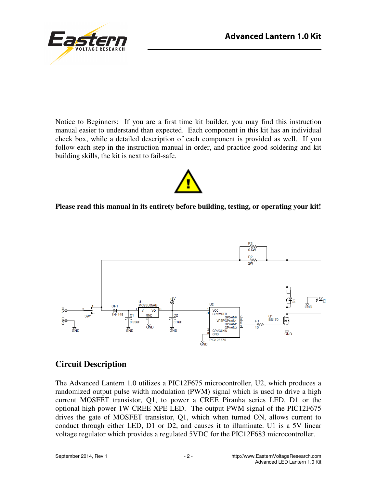



Notice to Beginners: If you are a first time kit builder, you may find this instruction manual easier to understand than expected. Each component in this kit has an individual check box, while a detailed description of each component is provided as well. If you follow each step in the instruction manual in order, and practice good soldering and kit building skills, the kit is next to fail-safe.



#### **Please read this manual in its entirety before building, testing, or operating your kit!**



#### **Circuit Description**

The Advanced Lantern 1.0 utilizes a PIC12F675 microcontroller, U2, which produces a randomized output pulse width modulation (PWM) signal which is used to drive a high current MOSFET transistor, Q1, to power a CREE Piranha series LED, D1 or the optional high power 1W CREE XPE LED. The output PWM signal of the PIC12F675 drives the gate of MOSFET transistor, Q1, which when turned ON, allows current to conduct through either LED, D1 or D2, and causes it to illuminate. U1 is a 5V linear voltage regulator which provides a regulated 5VDC for the PIC12F683 microcontroller.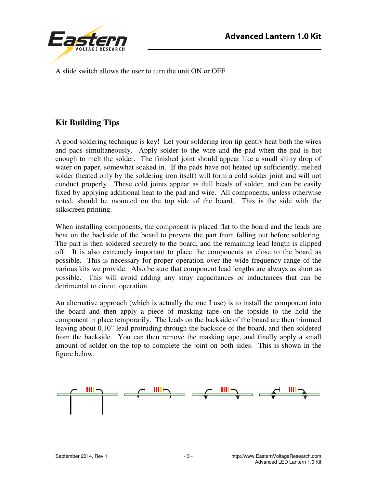

A slide switch allows the user to turn the unit ON or OFF.

## **Kit Building Tips**

A good soldering technique is key! Let your soldering iron tip gently heat both the wires and pads simultaneously. Apply solder to the wire and the pad when the pad is hot enough to melt the solder. The finished joint should appear like a small shiny drop of water on paper, somewhat soaked in. If the pads have not heated up sufficiently, melted solder (heated only by the soldering iron itself) will form a cold solder joint and will not conduct properly. These cold joints appear as dull beads of solder, and can be easily fixed by applying additional heat to the pad and wire. All components, unless otherwise noted, should be mounted on the top side of the board. This is the side with the silkscreen printing.

When installing components, the component is placed flat to the board and the leads are bent on the backside of the board to prevent the part from falling out before soldering. The part is then soldered securely to the board, and the remaining lead length is clipped off. It is also extremely important to place the components as close to the board as possible. This is necessary for proper operation over the wide frequency range of the various kits we provide. Also be sure that component lead lengths are always as short as possible. This will avoid adding any stray capacitances or inductances that can be detrimental to circuit operation.

An alternative approach (which is actually the one I use) is to install the component into the board and then apply a piece of masking tape on the topside to the hold the component in place temporarily. The leads on the backside of the board are then trimmed leaving about 0.10" lead protruding through the backside of the board, and then soldered from the backside. You can then remove the masking tape, and finally apply a small amount of solder on the top to complete the joint on both sides. This is shown in the figure below.

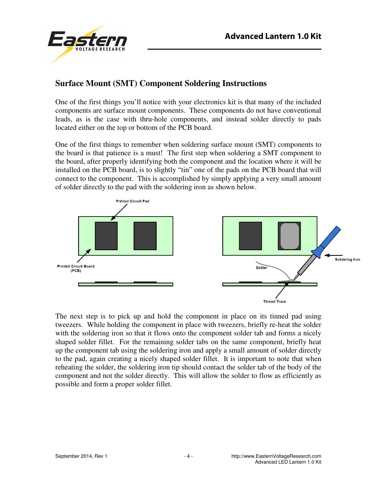

#### **Surface Mount (SMT) Component Soldering Instructions**

One of the first things you'll notice with your electronics kit is that many of the included components are surface mount components. These components do not have conventional leads, as is the case with thru-hole components, and instead solder directly to pads located either on the top or bottom of the PCB board.

One of the first things to remember when soldering surface mount (SMT) components to the board is that patience is a must! The first step when soldering a SMT component to the board, after properly identifying both the component and the location where it will be installed on the PCB board, is to slightly "tin" one of the pads on the PCB board that will connect to the component. This is accomplished by simply applying a very small amount of solder directly to the pad with the soldering iron as shown below.



The next step is to pick up and hold the component in place on its tinned pad using tweezers. While holding the component in place with tweezers, briefly re-heat the solder with the soldering iron so that it flows onto the component solder tab and forms a nicely shaped solder fillet. For the remaining solder tabs on the same component, briefly heat up the component tab using the soldering iron and apply a small amount of solder directly to the pad, again creating a nicely shaped solder fillet. It is important to note that when reheating the solder, the soldering iron tip should contact the solder tab of the body of the component and not the solder directly. This will allow the solder to flow as efficiently as possible and form a proper solder fillet.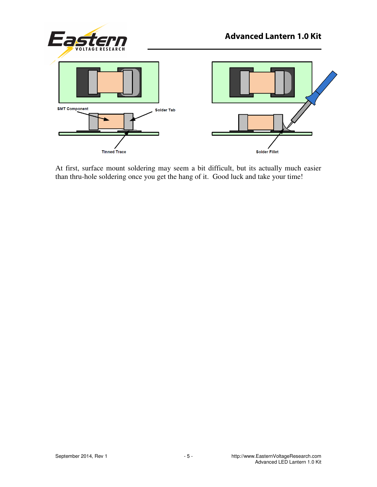

At first, surface mount soldering may seem a bit difficult, but its actually much easier than thru-hole soldering once you get the hang of it. Good luck and take your time!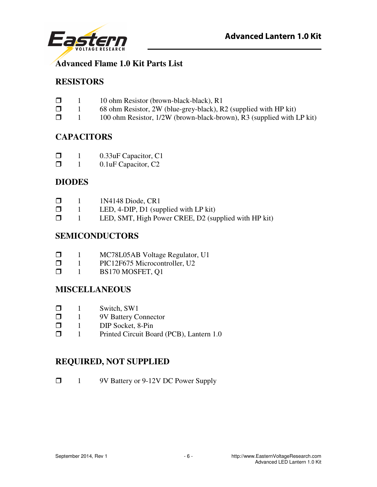

### **Advanced Flame 1.0 Kit Parts List**

#### **RESISTORS**

- $\Box$  10 ohm Resistor (brown-black-black), R1
- 1 68 ohm Resistor, 2W (blue-grey-black), R2 (supplied with HP kit)
- $\Box$  1 100 ohm Resistor, 1/2W (brown-black-brown), R3 (supplied with LP kit)

#### **CAPACITORS**

- 1 0.33uF Capacitor, C1
- **1** 0.1uF Capacitor, C<sub>2</sub>

#### **DIODES**

| $\Box$ | 1N4148 Diode, CR1 |
|--------|-------------------|
|--------|-------------------|

- $\Box$  1 LED, 4-DIP, D1 (supplied with LP kit)<br> $\Box$  1 LED SMT High Power CREE D2 (su
- 1 LED, SMT, High Power CREE, D2 (supplied with HP kit)

#### **SEMICONDUCTORS**

| ⊓ |  | MC78L05AB Voltage Regulator, U1 |  |
|---|--|---------------------------------|--|
|---|--|---------------------------------|--|

- $\Box$  1 PIC12F675 Microcontroller, U2<br> $\Box$  1 BS170 MOSFET. 01
- 1 BS170 MOSFET, Q1

#### **MISCELLANEOUS**

- $\Box$  1 Switch, SW1
- □ 1 9V Battery Connector<br>□ 1 DIP Socket, 8-Pin
- 1 DIP Socket, 8-Pin
- **1** Printed Circuit Board (PCB), Lantern 1.0

#### **REQUIRED, NOT SUPPLIED**

1 9V Battery or 9-12V DC Power Supply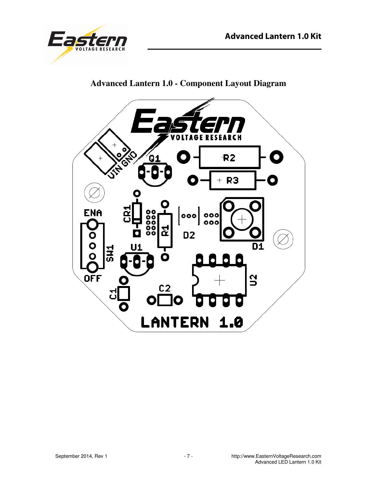



## **Advanced Lantern 1.0 - Component Layout Diagram**

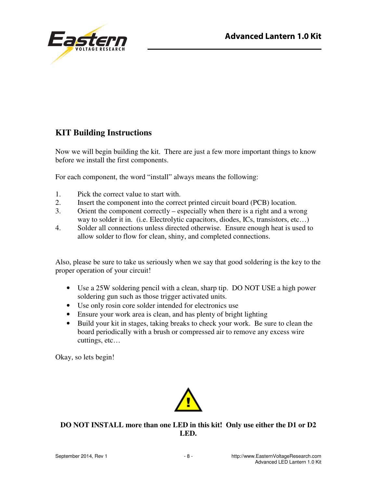

## **KIT Building Instructions**

Now we will begin building the kit. There are just a few more important things to know before we install the first components.

For each component, the word "install" always means the following:

- 1. Pick the correct value to start with.
- 2. Insert the component into the correct printed circuit board (PCB) location.
- 3. Orient the component correctly especially when there is a right and a wrong way to solder it in. (i.e. Electrolytic capacitors, diodes, ICs, transistors, etc...)
- 4. Solder all connections unless directed otherwise. Ensure enough heat is used to allow solder to flow for clean, shiny, and completed connections.

Also, please be sure to take us seriously when we say that good soldering is the key to the proper operation of your circuit!

- Use a 25W soldering pencil with a clean, sharp tip. DO NOT USE a high power soldering gun such as those trigger activated units.
- Use only rosin core solder intended for electronics use
- Ensure your work area is clean, and has plenty of bright lighting
- Build your kit in stages, taking breaks to check your work. Be sure to clean the board periodically with a brush or compressed air to remove any excess wire cuttings, etc…

Okay, so lets begin!



**DO NOT INSTALL more than one LED in this kit! Only use either the D1 or D2 LED.**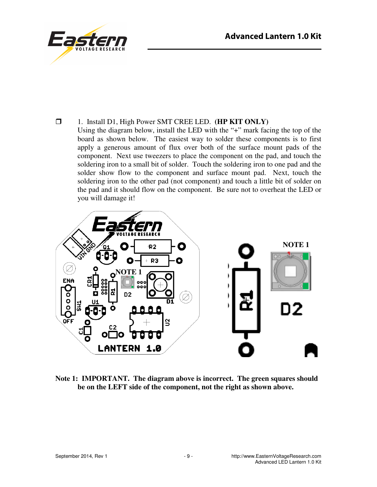

1. Install D1, High Power SMT CREE LED. **(HP KIT ONLY)**

 Using the diagram below, install the LED with the "+" mark facing the top of the board as shown below. The easiest way to solder these components is to first apply a generous amount of flux over both of the surface mount pads of the component. Next use tweezers to place the component on the pad, and touch the soldering iron to a small bit of solder. Touch the soldering iron to one pad and the solder show flow to the component and surface mount pad. Next, touch the soldering iron to the other pad (not component) and touch a little bit of solder on the pad and it should flow on the component. Be sure not to overheat the LED or you will damage it!



**Note 1: IMPORTANT. The diagram above is incorrect. The green squares should be on the LEFT side of the component, not the right as shown above.**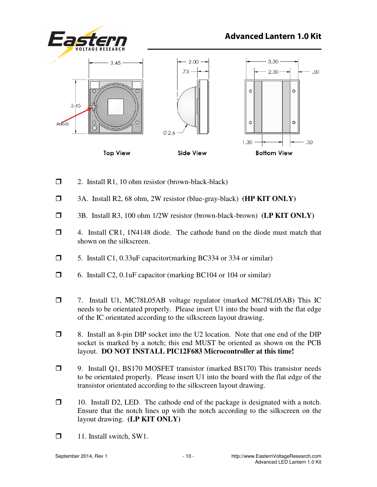

- $\Box$  2. Install R1, 10 ohm resistor (brown-black-black)
- 3A. Install R2, 68 ohm, 2W resistor (blue-gray-black) **(HP KIT ONLY)**
- 3B. Install R3, 100 ohm 1/2W resistor (brown-black-brown) **(LP KIT ONLY)**
- 4. Install CR1, 1N4148 diode. The cathode band on the diode must match that shown on the silkscreen.
- 5. Install C1, 0.33uF capacitor(marking BC334 or 334 or similar)
- 6. Install C2, 0.1uF capacitor (marking BC104 or 104 or similar)
- 7. Install U1, MC78L05AB voltage regulator (marked MC78L05AB) This IC needs to be orientated properly. Please insert U1 into the board with the flat edge of the IC orientated according to the silkscreen layout drawing.
- 8. Install an 8-pin DIP socket into the U2 location. Note that one end of the DIP socket is marked by a notch; this end MUST be oriented as shown on the PCB layout. **DO NOT INSTALL PIC12F683 Microcontroller at this time!**
- 9. Install Q1, BS170 MOSFET transistor (marked BS170) This transistor needs to be orientated properly. Please insert U1 into the board with the flat edge of the transistor orientated according to the silkscreen layout drawing.
- 10. Install D2, LED. The cathode end of the package is designated with a notch. Ensure that the notch lines up with the notch according to the silkscreen on the layout drawing. **(LP KIT ONLY)**
- $\Box$  11. Install switch, SW1.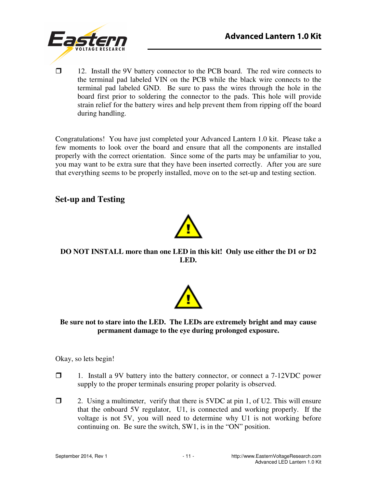

 12. Install the 9V battery connector to the PCB board. The red wire connects to the terminal pad labeled VIN on the PCB while the black wire connects to the terminal pad labeled GND. Be sure to pass the wires through the hole in the board first prior to soldering the connector to the pads. This hole will provide strain relief for the battery wires and help prevent them from ripping off the board during handling.

Congratulations! You have just completed your Advanced Lantern 1.0 kit. Please take a few moments to look over the board and ensure that all the components are installed properly with the correct orientation. Since some of the parts may be unfamiliar to you, you may want to be extra sure that they have been inserted correctly. After you are sure that everything seems to be properly installed, move on to the set-up and testing section.

#### **Set-up and Testing**



**DO NOT INSTALL more than one LED in this kit! Only use either the D1 or D2 LED.** 



#### **Be sure not to stare into the LED. The LEDs are extremely bright and may cause permanent damage to the eye during prolonged exposure.**

Okay, so lets begin!

- $\Box$  1. Install a 9V battery into the battery connector, or connect a 7-12VDC power supply to the proper terminals ensuring proper polarity is observed.
- $\Box$  2. Using a multimeter, verify that there is 5VDC at pin 1, of U2. This will ensure that the onboard 5V regulator, U1, is connected and working properly. If the voltage is not 5V, you will need to determine why U1 is not working before continuing on. Be sure the switch, SW1, is in the "ON" position.